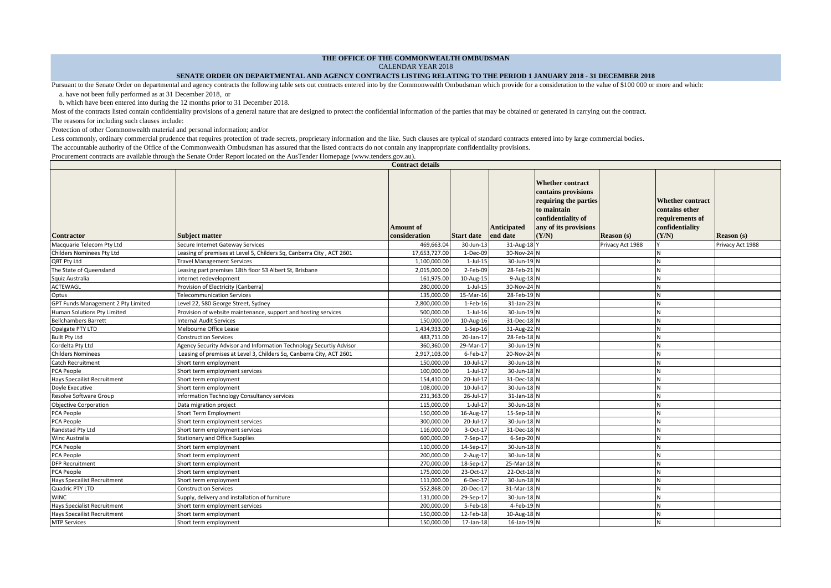## **THE OFFICE OF THE COMMONWEALTH OMBUDSMAN**

CALENDAR YEAR 2018

**Contract details** 

## **SENATE ORDER ON DEPARTMENTAL AND AGENCY CONTRACTS LISTING RELATING TO THE PERIOD 1 JANUARY 2018 - 31 DECEMBER 2018**

Pursuant to the Senate Order on departmental and agency contracts the following table sets out contracts entered into by the Commonwealth Ombudsman which provide for a consideration to the value of \$100 000 or more and whi a. have not been fully performed as at 31 December 2018*,* or

b. which have been entered into during the 12 months prior to 31 December 2018.

Most of the contracts listed contain confidentiality provisions of a general nature that are designed to protect the confidential information of the parties that may be obtained or generated in carrying out the contract.

The reasons for including such clauses include:

Protection of other Commonwealth material and personal information; and/or

Less commonly, ordinary commercial prudence that requires protection of trade secrets, proprietary information and the like. Such clauses are typical of standard contracts entered into by large commercial bodies. The accountable authority of the Office of the Commonwealth Ombudsman has assured that the listed contracts do not contain any inappropriate confidentiality provisions.

Procurement contracts are available through the Senate Order Report located on the AusTender Homepage (www.tenders.gov.au).

|                                    |                                                                      | Cona accumi                       |                   |                                |                                                                                                                                                |                   |                                                                                          |                   |
|------------------------------------|----------------------------------------------------------------------|-----------------------------------|-------------------|--------------------------------|------------------------------------------------------------------------------------------------------------------------------------------------|-------------------|------------------------------------------------------------------------------------------|-------------------|
| <b>Contractor</b>                  | Subject matter                                                       | <b>Amount of</b><br>consideration | <b>Start date</b> | <b>Anticipated</b><br>end date | <b>Whether contract</b><br>contains provisions<br>requiring the parties<br>to maintain<br>confidentiality of<br>any of its provisions<br>(Y/N) | <b>Reason</b> (s) | <b>Whether contract</b><br>contains other<br>requirements of<br>confidentiality<br>(Y/N) | <b>Reason</b> (s) |
| Macquarie Telecom Pty Ltd          | Secure Internet Gateway Services                                     | 469,663.04                        | 30-Jun-13         | 31-Aug-18 Y                    |                                                                                                                                                | Privacy Act 1988  |                                                                                          | Privacy Act 1988  |
| Childers Nominees Pty Ltd          | Leasing of premises at Level 5, Childers Sq, Canberra City, ACT 2601 | 17,653,727.00                     | 1-Dec-09          | 30-Nov-24 N                    |                                                                                                                                                |                   |                                                                                          |                   |
| QBT Pty Ltd                        | <b>Travel Management Services</b>                                    | 1,100,000.00                      | $1$ -Jul-15       | 30-Jun-19 N                    |                                                                                                                                                |                   |                                                                                          |                   |
| The State of Queensland            | Leasing part premises 18th floor 53 Albert St, Brisbane              | 2,015,000.00                      | 2-Feb-09          | 28-Feb-21 N                    |                                                                                                                                                |                   |                                                                                          |                   |
| Squiz Australia                    | Internet redevelopment                                               | 161,975.00                        | 10-Aug-15         | 9-Aug-18 N                     |                                                                                                                                                |                   |                                                                                          |                   |
| ACTEWAGL                           | Provision of Electricity (Canberra)                                  | 280,000.00                        | $1$ -Jul- $15$    | 30-Nov-24 N                    |                                                                                                                                                |                   |                                                                                          |                   |
| Optus                              | <b>Telecommunication Services</b>                                    | 135,000.00                        | 15-Mar-16         | 28-Feb-19 N                    |                                                                                                                                                |                   |                                                                                          |                   |
| GPT Funds Management 2 Pty Limited | Level 22, 580 George Street, Sydney                                  | 2,800,000.00                      | 1-Feb-16          | 31-Jan-23 N                    |                                                                                                                                                |                   |                                                                                          |                   |
| Human Solutions Pty Limited        | Provision of website maintenance, support and hosting services       | 500,000.00                        | $1$ -Jul- $16$    | 30-Jun-19 N                    |                                                                                                                                                |                   |                                                                                          |                   |
| <b>Bellchambers Barrett</b>        | nternal Audit Services                                               | 150,000.00                        | 10-Aug-16         | 31-Dec-18 N                    |                                                                                                                                                |                   |                                                                                          |                   |
| Opalgate PTY LTD                   | Melbourne Office Lease                                               | 1,434,933.00                      | $1-Sep-16$        | 31-Aug-22 N                    |                                                                                                                                                |                   |                                                                                          |                   |
| <b>Built Pty Ltd</b>               | <b>Construction Services</b>                                         | 483.711.00                        | 20-Jan-17         | 28-Feb-18 N                    |                                                                                                                                                |                   |                                                                                          |                   |
| Cordelta Pty Ltd                   | Agency Security Advisor and Information Technology Securtiy Advisor  | 360,360.00                        | 29-Mar-17         | 30-Jun-19 N                    |                                                                                                                                                |                   |                                                                                          |                   |
| <b>Childers Nominees</b>           | Leasing of premises at Level 3, Childers Sq, Canberra City, ACT 2601 | 2,917,103.00                      | 6-Feb-17          | 20-Nov-24 N                    |                                                                                                                                                |                   |                                                                                          |                   |
| Catch Recruitment                  | Short term employment                                                | 150,000.00                        | 10-Jul-17         | 30-Jun-18 N                    |                                                                                                                                                |                   |                                                                                          |                   |
| PCA People                         | Short term employment services                                       | 100.000.00                        | 1-Jul-17          | 30-Jun-18 N                    |                                                                                                                                                |                   |                                                                                          |                   |
| <b>Hays Specailist Recruitment</b> | Short term employment                                                | 154,410.00                        | 20-Jul-17         | 31-Dec-18 N                    |                                                                                                                                                |                   |                                                                                          |                   |
| Doyle Executive                    | Short term employment                                                | 108,000.00                        | 10-Jul-17         | 30-Jun-18 N                    |                                                                                                                                                |                   |                                                                                          |                   |
| <b>Resolve Software Group</b>      | Information Technology Consultancy services                          | 231,363.00                        | 26-Jul-17         | 31-Jan-18 N                    |                                                                                                                                                |                   |                                                                                          |                   |
| <b>Objective Corporation</b>       | Data migration project                                               | 115,000.00                        | 1-Jul-17          | 30-Jun-18 N                    |                                                                                                                                                |                   |                                                                                          |                   |
| PCA People                         | Short Term Employment                                                | 150,000.00                        | 16-Aug-17         | 15-Sep-18 N                    |                                                                                                                                                |                   |                                                                                          |                   |
| PCA People                         | Short term employment services                                       | 300,000.00                        | 20-Jul-17         | 30-Jun-18 N                    |                                                                                                                                                |                   |                                                                                          |                   |
| Randstad Pty Ltd                   | Short term employment services                                       | 116,000.00                        | 3-Oct-17          | 31-Dec-18 N                    |                                                                                                                                                |                   |                                                                                          |                   |
| Winc Australia                     | <b>Stationary and Office Supplies</b>                                | 600.000.00                        | 7-Sep-17          | 6-Sep-20 N                     |                                                                                                                                                |                   |                                                                                          |                   |
| PCA People                         | Short term employment                                                | 110,000.00                        | 14-Sep-17         | 30-Jun-18 N                    |                                                                                                                                                |                   |                                                                                          |                   |
| PCA People                         | Short term employment                                                | 200,000.00                        | 2-Aug-17          | 30-Jun-18 N                    |                                                                                                                                                |                   |                                                                                          |                   |
| <b>DFP Recruitment</b>             | Short term employment                                                | 270,000.00                        | 18-Sep-17         | 25-Mar-18 N                    |                                                                                                                                                |                   |                                                                                          |                   |
| PCA People                         | Short term employment                                                | 175,000.00                        | 23-Oct-17         | 22-Oct-18 N                    |                                                                                                                                                |                   |                                                                                          |                   |
| <b>Hays Specailist Recruitment</b> | Short term employment                                                | 111,000.00                        | 6-Dec-17          | 30-Jun-18 N                    |                                                                                                                                                |                   |                                                                                          |                   |
| Quadric PTY LTD                    | <b>Construction Services</b>                                         | 552,868.00                        | 20-Dec-17         | 31-Mar-18 N                    |                                                                                                                                                |                   | N                                                                                        |                   |
| <b>WINC</b>                        | Supply, delivery and installation of furniture                       | 131,000.00                        | 29-Sep-17         | 30-Jun-18 N                    |                                                                                                                                                |                   |                                                                                          |                   |
| <b>Hays Specialist Recruitment</b> | Short term employment services                                       | 200,000.00                        | 5-Feb-18          | 4-Feb-19 N                     |                                                                                                                                                |                   |                                                                                          |                   |
| <b>Hays Specailist Recruitment</b> | Short term employment                                                | 150,000.00                        | 12-Feb-18         | 10-Aug-18 N                    |                                                                                                                                                |                   |                                                                                          |                   |
| <b>MTP Services</b>                | Short term employment                                                | 150,000.00                        | 17-Jan-18         | 16-Jan-19 N                    |                                                                                                                                                |                   |                                                                                          |                   |